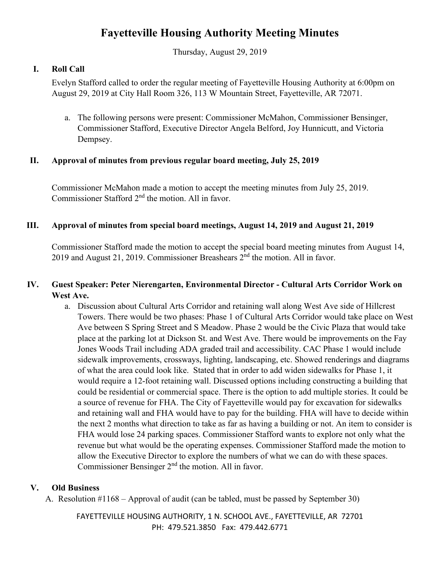# **Fayetteville Housing Authority Meeting Minutes**

Thursday, August 29, 2019

# **I. Roll Call**

Evelyn Stafford called to order the regular meeting of Fayetteville Housing Authority at 6:00pm on August 29, 2019 at City Hall Room 326, 113 W Mountain Street, Fayetteville, AR 72071.

a. The following persons were present: Commissioner McMahon, Commissioner Bensinger, Commissioner Stafford, Executive Director Angela Belford, Joy Hunnicutt, and Victoria Dempsey.

# **II. Approval of minutes from previous regular board meeting, July 25, 2019**

Commissioner McMahon made a motion to accept the meeting minutes from July 25, 2019. Commissioner Stafford 2<sup>nd</sup> the motion. All in favor.

# **III. Approval of minutes from special board meetings, August 14, 2019 and August 21, 2019**

Commissioner Stafford made the motion to accept the special board meeting minutes from August 14, 2019 and August 21, 2019. Commissioner Breashears 2nd the motion. All in favor.

# **IV. Guest Speaker: Peter Nierengarten, Environmental Director - Cultural Arts Corridor Work on West Ave.**

a. Discussion about Cultural Arts Corridor and retaining wall along West Ave side of Hillcrest Towers. There would be two phases: Phase 1 of Cultural Arts Corridor would take place on West Ave between S Spring Street and S Meadow. Phase 2 would be the Civic Plaza that would take place at the parking lot at Dickson St. and West Ave. There would be improvements on the Fay Jones Woods Trail including ADA graded trail and accessibility. CAC Phase 1 would include sidewalk improvements, crossways, lighting, landscaping, etc. Showed renderings and diagrams of what the area could look like. Stated that in order to add widen sidewalks for Phase 1, it would require a 12-foot retaining wall. Discussed options including constructing a building that could be residential or commercial space. There is the option to add multiple stories. It could be a source of revenue for FHA. The City of Fayetteville would pay for excavation for sidewalks and retaining wall and FHA would have to pay for the building. FHA will have to decide within the next 2 months what direction to take as far as having a building or not. An item to consider is FHA would lose 24 parking spaces. Commissioner Stafford wants to explore not only what the revenue but what would be the operating expenses. Commissioner Stafford made the motion to allow the Executive Director to explore the numbers of what we can do with these spaces. Commissioner Bensinger 2nd the motion. All in favor.

# **V. Old Business**

A. Resolution #1168 – Approval of audit (can be tabled, must be passed by September 30)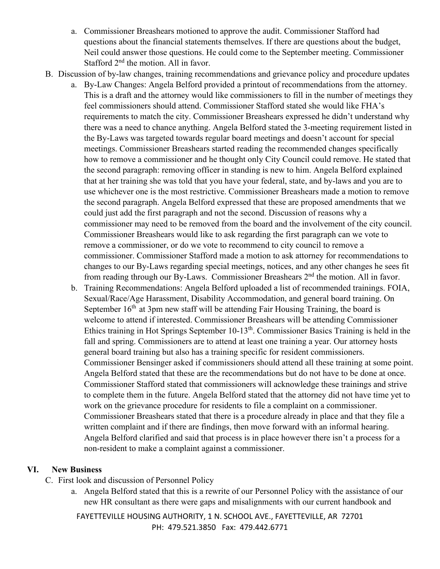- a. Commissioner Breashears motioned to approve the audit. Commissioner Stafford had questions about the financial statements themselves. If there are questions about the budget, Neil could answer those questions. He could come to the September meeting. Commissioner Stafford 2<sup>nd</sup> the motion. All in favor.
- B. Discussion of by-law changes, training recommendations and grievance policy and procedure updates
	- a. By-Law Changes: Angela Belford provided a printout of recommendations from the attorney. This is a draft and the attorney would like commissioners to fill in the number of meetings they feel commissioners should attend. Commissioner Stafford stated she would like FHA's requirements to match the city. Commissioner Breashears expressed he didn't understand why there was a need to chance anything. Angela Belford stated the 3-meeting requirement listed in the By-Laws was targeted towards regular board meetings and doesn't account for special meetings. Commissioner Breashears started reading the recommended changes specifically how to remove a commissioner and he thought only City Council could remove. He stated that the second paragraph: removing officer in standing is new to him. Angela Belford explained that at her training she was told that you have your federal, state, and by-laws and you are to use whichever one is the most restrictive. Commissioner Breashears made a motion to remove the second paragraph. Angela Belford expressed that these are proposed amendments that we could just add the first paragraph and not the second. Discussion of reasons why a commissioner may need to be removed from the board and the involvement of the city council. Commissioner Breashears would like to ask regarding the first paragraph can we vote to remove a commissioner, or do we vote to recommend to city council to remove a commissioner. Commissioner Stafford made a motion to ask attorney for recommendations to changes to our By-Laws regarding special meetings, notices, and any other changes he sees fit from reading through our By-Laws. Commissioner Breashears 2nd the motion. All in favor.
	- b. Training Recommendations: Angela Belford uploaded a list of recommended trainings. FOIA, Sexual/Race/Age Harassment, Disability Accommodation, and general board training. On September  $16<sup>th</sup>$  at 3pm new staff will be attending Fair Housing Training, the board is welcome to attend if interested. Commissioner Breashears will be attending Commissioner Ethics training in Hot Springs September 10-13th. Commissioner Basics Training is held in the fall and spring. Commissioners are to attend at least one training a year. Our attorney hosts general board training but also has a training specific for resident commissioners. Commissioner Bensinger asked if commissioners should attend all these training at some point. Angela Belford stated that these are the recommendations but do not have to be done at once. Commissioner Stafford stated that commissioners will acknowledge these trainings and strive to complete them in the future. Angela Belford stated that the attorney did not have time yet to work on the grievance procedure for residents to file a complaint on a commissioner. Commissioner Breashears stated that there is a procedure already in place and that they file a written complaint and if there are findings, then move forward with an informal hearing. Angela Belford clarified and said that process is in place however there isn't a process for a non-resident to make a complaint against a commissioner.

#### **VI. New Business**

- C. First look and discussion of Personnel Policy
	- a. Angela Belford stated that this is a rewrite of our Personnel Policy with the assistance of our new HR consultant as there were gaps and misalignments with our current handbook and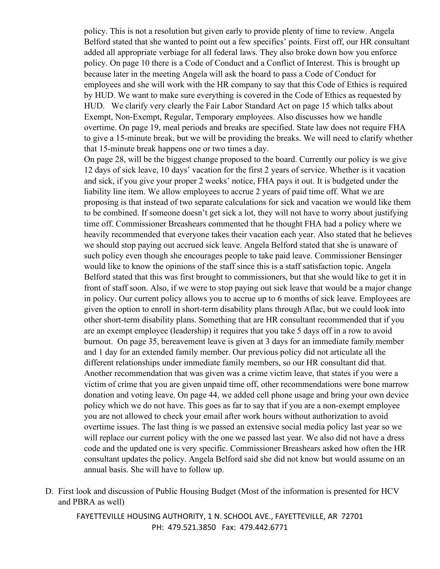policy. This is not a resolution but given early to provide plenty of time to review. Angela Belford stated that she wanted to point out a few specifics' points. First off, our HR consultant added all appropriate verbiage for all federal laws. They also broke down how you enforce policy. On page 10 there is a Code of Conduct and a Conflict of Interest. This is brought up because later in the meeting Angela will ask the board to pass a Code of Conduct for employees and she will work with the HR company to say that this Code of Ethics is required by HUD. We want to make sure everything is covered in the Code of Ethics as requested by HUD. We clarify very clearly the Fair Labor Standard Act on page 15 which talks about Exempt, Non-Exempt, Regular, Temporary employees. Also discusses how we handle overtime. On page 19, meal periods and breaks are specified. State law does not require FHA to give a 15-minute break, but we will be providing the breaks. We will need to clarify whether that 15-minute break happens one or two times a day.

On page 28, will be the biggest change proposed to the board. Currently our policy is we give 12 days of sick leave, 10 days' vacation for the first 2 years of service. Whether is it vacation and sick, if you give your proper 2 weeks' notice, FHA pays it out. It is budgeted under the liability line item. We allow employees to accrue 2 years of paid time off. What we are proposing is that instead of two separate calculations for sick and vacation we would like them to be combined. If someone doesn't get sick a lot, they will not have to worry about justifying time off. Commissioner Breashears commented that he thought FHA had a policy where we heavily recommended that everyone takes their vacation each year. Also stated that he believes we should stop paying out accrued sick leave. Angela Belford stated that she is unaware of such policy even though she encourages people to take paid leave. Commissioner Bensinger would like to know the opinions of the staff since this is a staff satisfaction topic. Angela Belford stated that this was first brought to commissioners, but that she would like to get it in front of staff soon. Also, if we were to stop paying out sick leave that would be a major change in policy. Our current policy allows you to accrue up to 6 months of sick leave. Employees are given the option to enroll in short-term disability plans through Aflac, but we could look into other short-term disability plans. Something that are HR consultant recommended that if you are an exempt employee (leadership) it requires that you take 5 days off in a row to avoid burnout. On page 35, bereavement leave is given at 3 days for an immediate family member and 1 day for an extended family member. Our previous policy did not articulate all the different relationships under immediate family members, so our HR consultant did that. Another recommendation that was given was a crime victim leave, that states if you were a victim of crime that you are given unpaid time off, other recommendations were bone marrow donation and voting leave. On page 44, we added cell phone usage and bring your own device policy which we do not have. This goes as far to say that if you are a non-exempt employee you are not allowed to check your email after work hours without authorization to avoid overtime issues. The last thing is we passed an extensive social media policy last year so we will replace our current policy with the one we passed last year. We also did not have a dress code and the updated one is very specific. Commissioner Breashears asked how often the HR consultant updates the policy. Angela Belford said she did not know but would assume on an annual basis. She will have to follow up.

D. First look and discussion of Public Housing Budget (Most of the information is presented for HCV and PBRA as well)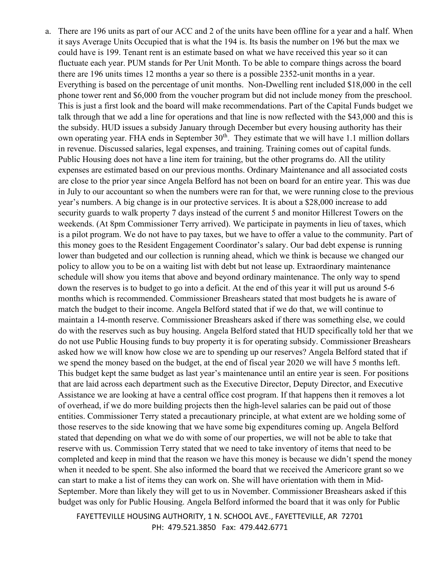a. There are 196 units as part of our ACC and 2 of the units have been offline for a year and a half. When it says Average Units Occupied that is what the 194 is. Its basis the number on 196 but the max we could have is 199. Tenant rent is an estimate based on what we have received this year so it can fluctuate each year. PUM stands for Per Unit Month. To be able to compare things across the board there are 196 units times 12 months a year so there is a possible 2352-unit months in a year. Everything is based on the percentage of unit months. Non-Dwelling rent included \$18,000 in the cell phone tower rent and \$6,000 from the voucher program but did not include money from the preschool. This is just a first look and the board will make recommendations. Part of the Capital Funds budget we talk through that we add a line for operations and that line is now reflected with the \$43,000 and this is the subsidy. HUD issues a subsidy January through December but every housing authority has their own operating year. FHA ends in September 30<sup>th</sup>. They estimate that we will have 1.1 million dollars in revenue. Discussed salaries, legal expenses, and training. Training comes out of capital funds. Public Housing does not have a line item for training, but the other programs do. All the utility expenses are estimated based on our previous months. Ordinary Maintenance and all associated costs are close to the prior year since Angela Belford has not been on board for an entire year. This was due in July to our accountant so when the numbers were ran for that, we were running close to the previous year's numbers. A big change is in our protective services. It is about a \$28,000 increase to add security guards to walk property 7 days instead of the current 5 and monitor Hillcrest Towers on the weekends. (At 8pm Commissioner Terry arrived). We participate in payments in lieu of taxes, which is a pilot program. We do not have to pay taxes, but we have to offer a value to the community. Part of this money goes to the Resident Engagement Coordinator's salary. Our bad debt expense is running lower than budgeted and our collection is running ahead, which we think is because we changed our policy to allow you to be on a waiting list with debt but not lease up. Extraordinary maintenance schedule will show you items that above and beyond ordinary maintenance. The only way to spend down the reserves is to budget to go into a deficit. At the end of this year it will put us around 5-6 months which is recommended. Commissioner Breashears stated that most budgets he is aware of match the budget to their income. Angela Belford stated that if we do that, we will continue to maintain a 14-month reserve. Commissioner Breashears asked if there was something else, we could do with the reserves such as buy housing. Angela Belford stated that HUD specifically told her that we do not use Public Housing funds to buy property it is for operating subsidy. Commissioner Breashears asked how we will know how close we are to spending up our reserves? Angela Belford stated that if we spend the money based on the budget, at the end of fiscal year 2020 we will have 5 months left. This budget kept the same budget as last year's maintenance until an entire year is seen. For positions that are laid across each department such as the Executive Director, Deputy Director, and Executive Assistance we are looking at have a central office cost program. If that happens then it removes a lot of overhead, if we do more building projects then the high-level salaries can be paid out of those entities. Commissioner Terry stated a precautionary principle, at what extent are we holding some of those reserves to the side knowing that we have some big expenditures coming up. Angela Belford stated that depending on what we do with some of our properties, we will not be able to take that reserve with us. Commission Terry stated that we need to take inventory of items that need to be completed and keep in mind that the reason we have this money is because we didn't spend the money when it needed to be spent. She also informed the board that we received the Americore grant so we can start to make a list of items they can work on. She will have orientation with them in Mid-September. More than likely they will get to us in November. Commissioner Breashears asked if this budget was only for Public Housing. Angela Belford informed the board that it was only for Public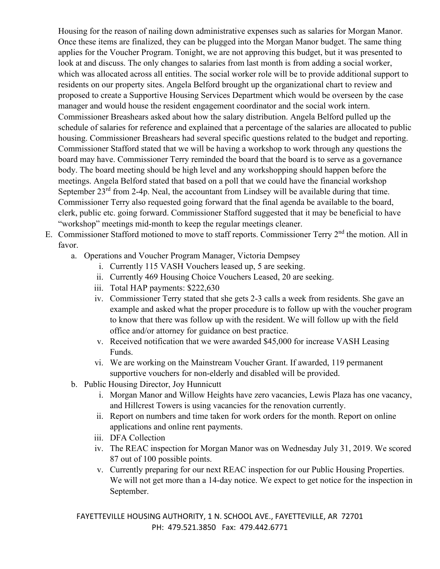Housing for the reason of nailing down administrative expenses such as salaries for Morgan Manor. Once these items are finalized, they can be plugged into the Morgan Manor budget. The same thing applies for the Voucher Program. Tonight, we are not approving this budget, but it was presented to look at and discuss. The only changes to salaries from last month is from adding a social worker, which was allocated across all entities. The social worker role will be to provide additional support to residents on our property sites. Angela Belford brought up the organizational chart to review and proposed to create a Supportive Housing Services Department which would be overseen by the case manager and would house the resident engagement coordinator and the social work intern. Commissioner Breashears asked about how the salary distribution. Angela Belford pulled up the schedule of salaries for reference and explained that a percentage of the salaries are allocated to public housing. Commissioner Breashears had several specific questions related to the budget and reporting. Commissioner Stafford stated that we will be having a workshop to work through any questions the board may have. Commissioner Terry reminded the board that the board is to serve as a governance body. The board meeting should be high level and any workshopping should happen before the meetings. Angela Belford stated that based on a poll that we could have the financial workshop September  $23^{rd}$  from 2-4p. Neal, the accountant from Lindsey will be available during that time. Commissioner Terry also requested going forward that the final agenda be available to the board, clerk, public etc. going forward. Commissioner Stafford suggested that it may be beneficial to have "workshop" meetings mid-month to keep the regular meetings cleaner.

- E. Commissioner Stafford motioned to move to staff reports. Commissioner Terry 2<sup>nd</sup> the motion. All in favor.
	- a. Operations and Voucher Program Manager, Victoria Dempsey
		- i. Currently 115 VASH Vouchers leased up, 5 are seeking.
		- ii. Currently 469 Housing Choice Vouchers Leased, 20 are seeking.
		- iii. Total HAP payments: \$222,630
		- iv. Commissioner Terry stated that she gets 2-3 calls a week from residents. She gave an example and asked what the proper procedure is to follow up with the voucher program to know that there was follow up with the resident. We will follow up with the field office and/or attorney for guidance on best practice.
		- v. Received notification that we were awarded \$45,000 for increase VASH Leasing Funds.
		- vi. We are working on the Mainstream Voucher Grant. If awarded, 119 permanent supportive vouchers for non-elderly and disabled will be provided.
	- b. Public Housing Director, Joy Hunnicutt
		- i. Morgan Manor and Willow Heights have zero vacancies, Lewis Plaza has one vacancy, and Hillcrest Towers is using vacancies for the renovation currently.
		- ii. Report on numbers and time taken for work orders for the month. Report on online applications and online rent payments.
		- iii. DFA Collection
		- iv. The REAC inspection for Morgan Manor was on Wednesday July 31, 2019. We scored 87 out of 100 possible points.
		- v. Currently preparing for our next REAC inspection for our Public Housing Properties. We will not get more than a 14-day notice. We expect to get notice for the inspection in September.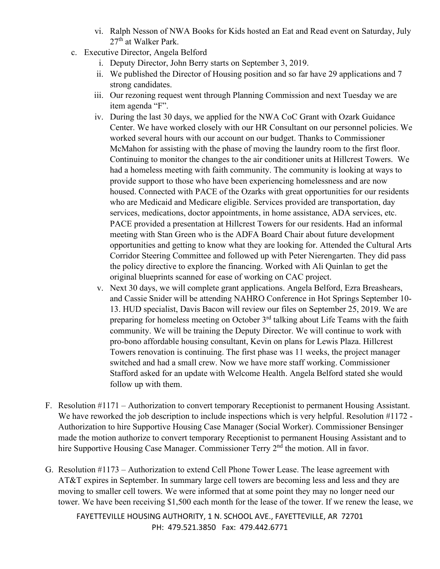- vi. Ralph Nesson of NWA Books for Kids hosted an Eat and Read event on Saturday, July 27<sup>th</sup> at Walker Park.
- c. Executive Director, Angela Belford
	- i. Deputy Director, John Berry starts on September 3, 2019.
	- ii. We published the Director of Housing position and so far have 29 applications and 7 strong candidates.
	- iii. Our rezoning request went through Planning Commission and next Tuesday we are item agenda "F".
	- iv. During the last 30 days, we applied for the NWA CoC Grant with Ozark Guidance Center. We have worked closely with our HR Consultant on our personnel policies. We worked several hours with our account on our budget. Thanks to Commissioner McMahon for assisting with the phase of moving the laundry room to the first floor. Continuing to monitor the changes to the air conditioner units at Hillcrest Towers. We had a homeless meeting with faith community. The community is looking at ways to provide support to those who have been experiencing homelessness and are now housed. Connected with PACE of the Ozarks with great opportunities for our residents who are Medicaid and Medicare eligible. Services provided are transportation, day services, medications, doctor appointments, in home assistance, ADA services, etc. PACE provided a presentation at Hillcrest Towers for our residents. Had an informal meeting with Stan Green who is the ADFA Board Chair about future development opportunities and getting to know what they are looking for. Attended the Cultural Arts Corridor Steering Committee and followed up with Peter Nierengarten. They did pass the policy directive to explore the financing. Worked with Ali Quinlan to get the original blueprints scanned for ease of working on CAC project.
	- v. Next 30 days, we will complete grant applications. Angela Belford, Ezra Breashears, and Cassie Snider will be attending NAHRO Conference in Hot Springs September 10- 13. HUD specialist, Davis Bacon will review our files on September 25, 2019. We are preparing for homeless meeting on October  $3<sup>rd</sup>$  talking about Life Teams with the faith community. We will be training the Deputy Director. We will continue to work with pro-bono affordable housing consultant, Kevin on plans for Lewis Plaza. Hillcrest Towers renovation is continuing. The first phase was 11 weeks, the project manager switched and had a small crew. Now we have more staff working. Commissioner Stafford asked for an update with Welcome Health. Angela Belford stated she would follow up with them.
- F. Resolution #1171 Authorization to convert temporary Receptionist to permanent Housing Assistant. We have reworked the job description to include inspections which is very helpful. Resolution #1172 -Authorization to hire Supportive Housing Case Manager (Social Worker). Commissioner Bensinger made the motion authorize to convert temporary Receptionist to permanent Housing Assistant and to hire Supportive Housing Case Manager. Commissioner Terry 2<sup>nd</sup> the motion. All in favor.
- G. Resolution #1173 Authorization to extend Cell Phone Tower Lease. The lease agreement with AT&T expires in September. In summary large cell towers are becoming less and less and they are moving to smaller cell towers. We were informed that at some point they may no longer need our tower. We have been receiving \$1,500 each month for the lease of the tower. If we renew the lease, we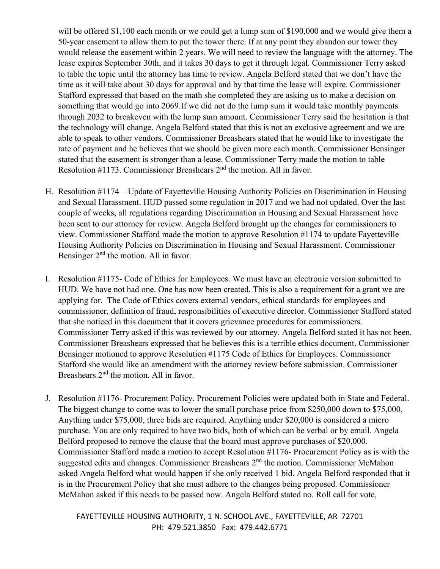will be offered \$1,100 each month or we could get a lump sum of \$190,000 and we would give them a 50-year easement to allow them to put the tower there. If at any point they abandon our tower they would release the easement within 2 years. We will need to review the language with the attorney. The lease expires September 30th, and it takes 30 days to get it through legal. Commissioner Terry asked to table the topic until the attorney has time to review. Angela Belford stated that we don't have the time as it will take about 30 days for approval and by that time the lease will expire. Commissioner Stafford expressed that based on the math she completed they are asking us to make a decision on something that would go into 2069.If we did not do the lump sum it would take monthly payments through 2032 to breakeven with the lump sum amount. Commissioner Terry said the hesitation is that the technology will change. Angela Belford stated that this is not an exclusive agreement and we are able to speak to other vendors. Commissioner Breashears stated that he would like to investigate the rate of payment and he believes that we should be given more each month. Commissioner Bensinger stated that the easement is stronger than a lease. Commissioner Terry made the motion to table Resolution #1173. Commissioner Breashears 2nd the motion. All in favor.

- H. Resolution #1174 Update of Fayetteville Housing Authority Policies on Discrimination in Housing and Sexual Harassment. HUD passed some regulation in 2017 and we had not updated. Over the last couple of weeks, all regulations regarding Discrimination in Housing and Sexual Harassment have been sent to our attorney for review. Angela Belford brought up the changes for commissioners to view. Commissioner Stafford made the motion to approve Resolution #1174 to update Fayetteville Housing Authority Policies on Discrimination in Housing and Sexual Harassment. Commissioner Bensinger  $2<sup>nd</sup>$  the motion. All in favor.
- I. Resolution #1175- Code of Ethics for Employees. We must have an electronic version submitted to HUD. We have not had one. One has now been created. This is also a requirement for a grant we are applying for. The Code of Ethics covers external vendors, ethical standards for employees and commissioner, definition of fraud, responsibilities of executive director. Commissioner Stafford stated that she noticed in this document that it covers grievance procedures for commissioners. Commissioner Terry asked if this was reviewed by our attorney. Angela Belford stated it has not been. Commissioner Breashears expressed that he believes this is a terrible ethics document. Commissioner Bensinger motioned to approve Resolution #1175 Code of Ethics for Employees. Commissioner Stafford she would like an amendment with the attorney review before submission. Commissioner Breashears 2<sup>nd</sup> the motion. All in favor.
- J. Resolution #1176- Procurement Policy. Procurement Policies were updated both in State and Federal. The biggest change to come was to lower the small purchase price from \$250,000 down to \$75,000. Anything under \$75,000, three bids are required. Anything under \$20,000 is considered a micro purchase. You are only required to have two bids, both of which can be verbal or by email. Angela Belford proposed to remove the clause that the board must approve purchases of \$20,000. Commissioner Stafford made a motion to accept Resolution #1176- Procurement Policy as is with the suggested edits and changes. Commissioner Breashears 2<sup>nd</sup> the motion. Commissioner McMahon asked Angela Belford what would happen if she only received 1 bid. Angela Belford responded that it is in the Procurement Policy that she must adhere to the changes being proposed. Commissioner McMahon asked if this needs to be passed now. Angela Belford stated no. Roll call for vote,